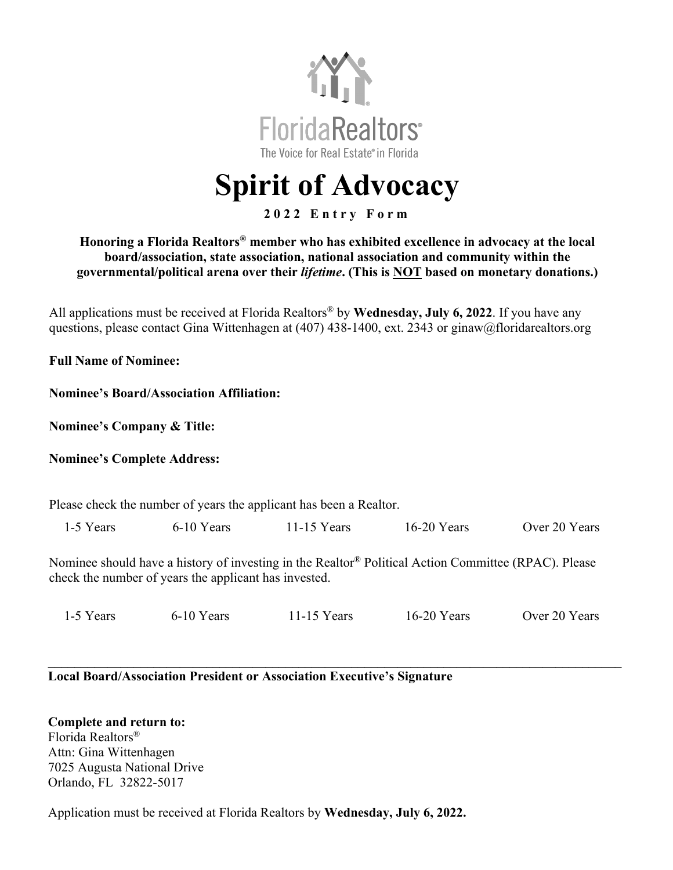

# **Spirit of Advocacy**

#### **2 0 2 2 Entry Form**

#### **Honoring a Florida Realtors® member who has exhibited excellence in advocacy at the local board/association, state association, national association and community within the governmental/political arena over their** *lifetime***. (This is NOT based on monetary donations.)**

All applications must be received at Florida Realtors® by **Wednesday, July 6, 2022**. If you have any questions, please contact Gina Wittenhagen at (407) 438-1400, ext. 2343 or ginaw@floridarealtors.org

**Full Name of Nominee:** 

**Nominee's Board/Association Affiliation:**

**Nominee's Company & Title:** 

**Nominee's Complete Address:**

Please check the number of years the applicant has been a Realtor.

1-5 Years 6-10 Years 11-15 Years 16-20 Years Over 20 Years

Nominee should have a history of investing in the Realtor® Political Action Committee (RPAC). Please check the number of years the applicant has invested.

1-5 Years 6-10 Years 11-15 Years 16-20 Years Over 20 Years

**\_\_\_\_\_\_\_\_\_\_\_\_\_\_\_\_\_\_\_\_\_\_\_\_\_\_\_\_\_\_\_\_\_\_\_\_\_\_\_\_\_\_\_\_\_\_\_\_\_\_\_\_\_\_\_\_\_\_\_\_\_\_\_\_\_\_\_\_\_\_\_\_\_\_\_\_\_\_\_\_\_\_\_\_\_\_\_**

**Local Board/Association President or Association Executive's Signature**

**Complete and return to:**  Florida Realtors® Attn: Gina Wittenhagen 7025 Augusta National Drive Orlando, FL 32822-5017

Application must be received at Florida Realtors by **Wednesday, July 6, 2022.**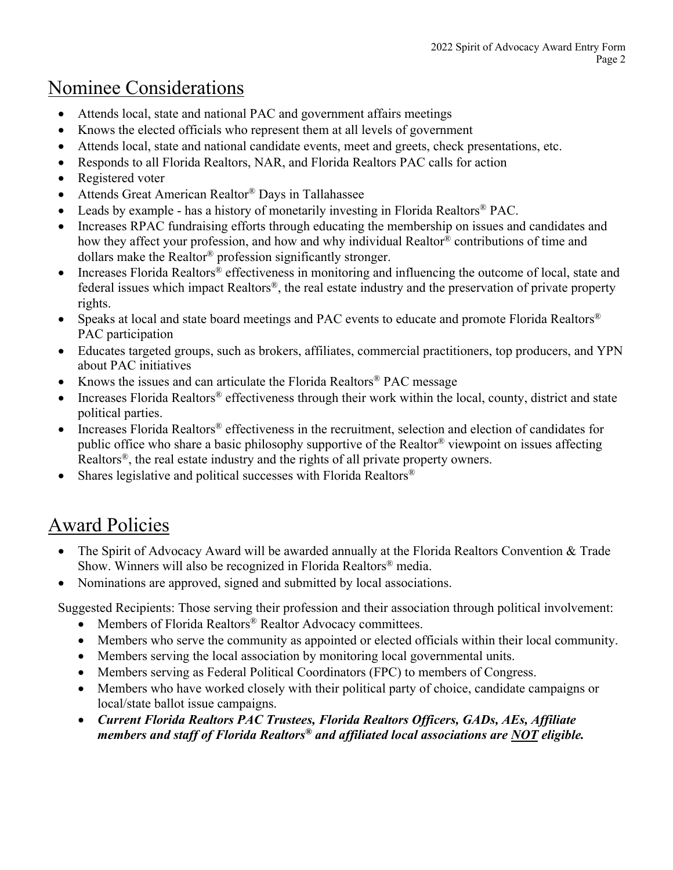### Nominee Considerations

- Attends local, state and national PAC and government affairs meetings
- Knows the elected officials who represent them at all levels of government
- Attends local, state and national candidate events, meet and greets, check presentations, etc.
- Responds to all Florida Realtors, NAR, and Florida Realtors PAC calls for action
- Registered voter
- Attends Great American Realtor<sup>®</sup> Days in Tallahassee
- Leads by example has a history of monetarily investing in Florida Realtors<sup>®</sup> PAC.
- Increases RPAC fundraising efforts through educating the membership on issues and candidates and how they affect your profession, and how and why individual Realtor® contributions of time and dollars make the Realtor® profession significantly stronger.
- Increases Florida Realtors<sup>®</sup> effectiveness in monitoring and influencing the outcome of local, state and federal issues which impact Realtors®, the real estate industry and the preservation of private property rights.
- Speaks at local and state board meetings and PAC events to educate and promote Florida Realtors<sup>®</sup> PAC participation
- Educates targeted groups, such as brokers, affiliates, commercial practitioners, top producers, and YPN about PAC initiatives
- Knows the issues and can articulate the Florida Realtors<sup>®</sup> PAC message
- Increases Florida Realtors<sup>®</sup> effectiveness through their work within the local, county, district and state political parties.
- Increases Florida Realtors® effectiveness in the recruitment, selection and election of candidates for public office who share a basic philosophy supportive of the Realtor® viewpoint on issues affecting Realtors<sup>®</sup>, the real estate industry and the rights of all private property owners.
- Shares legislative and political successes with Florida Realtors<sup>®</sup>

## Award Policies

- The Spirit of Advocacy Award will be awarded annually at the Florida Realtors Convention & Trade Show. Winners will also be recognized in Florida Realtors® media.
- Nominations are approved, signed and submitted by local associations.

Suggested Recipients: Those serving their profession and their association through political involvement:

- Members of Florida Realtors<sup>®</sup> Realtor Advocacy committees.
- Members who serve the community as appointed or elected officials within their local community.
- Members serving the local association by monitoring local governmental units.
- Members serving as Federal Political Coordinators (FPC) to members of Congress.
- Members who have worked closely with their political party of choice, candidate campaigns or local/state ballot issue campaigns.
- *Current Florida Realtors PAC Trustees, Florida Realtors Officers, GADs, AEs, Affiliate members and staff of Florida Realtors® and affiliated local associations are NOT eligible.*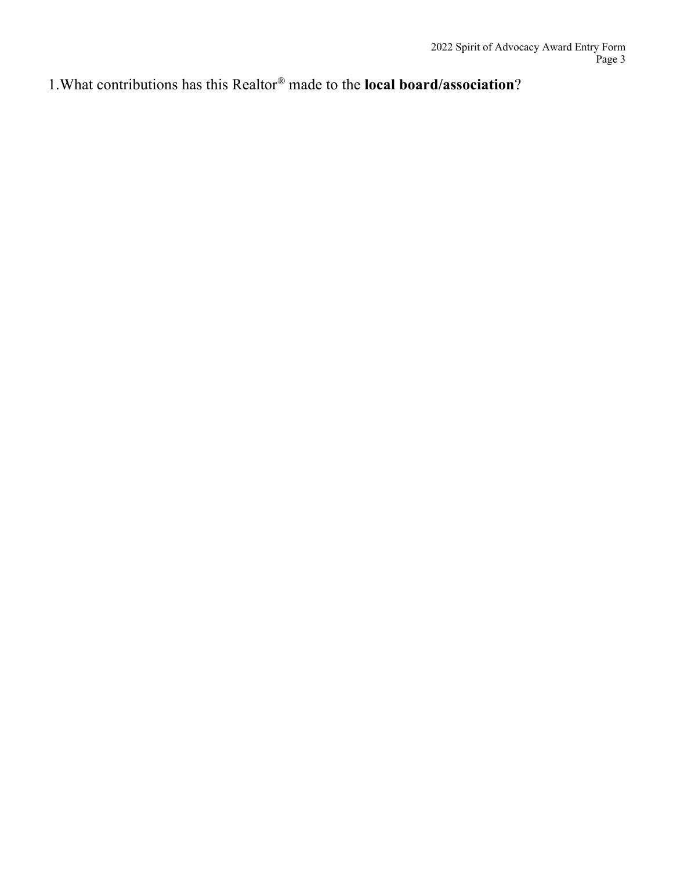1.What contributions has this Realtor® made to the **local board/association**?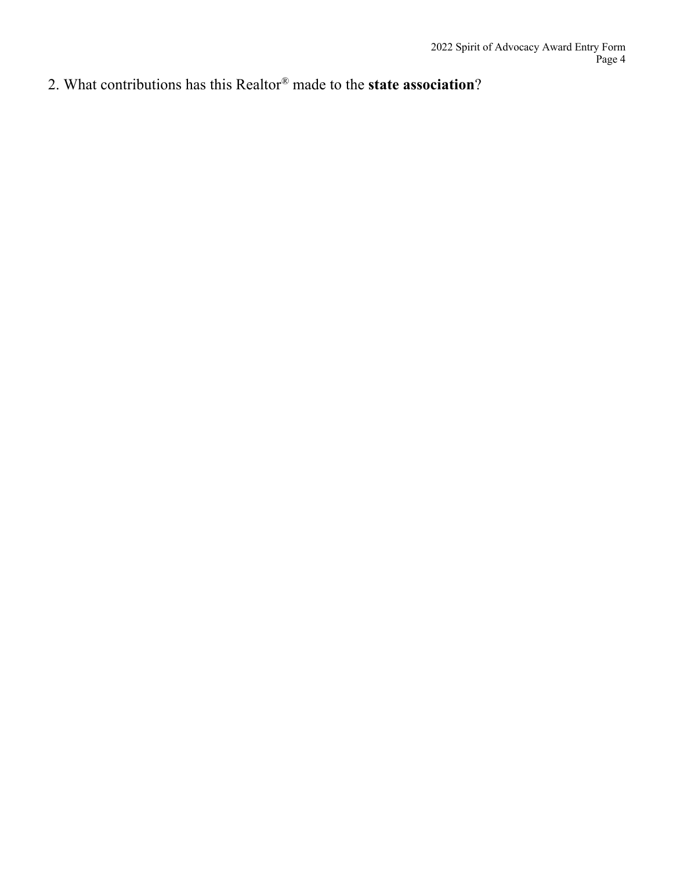2. What contributions has this Realtor® made to the **state association**?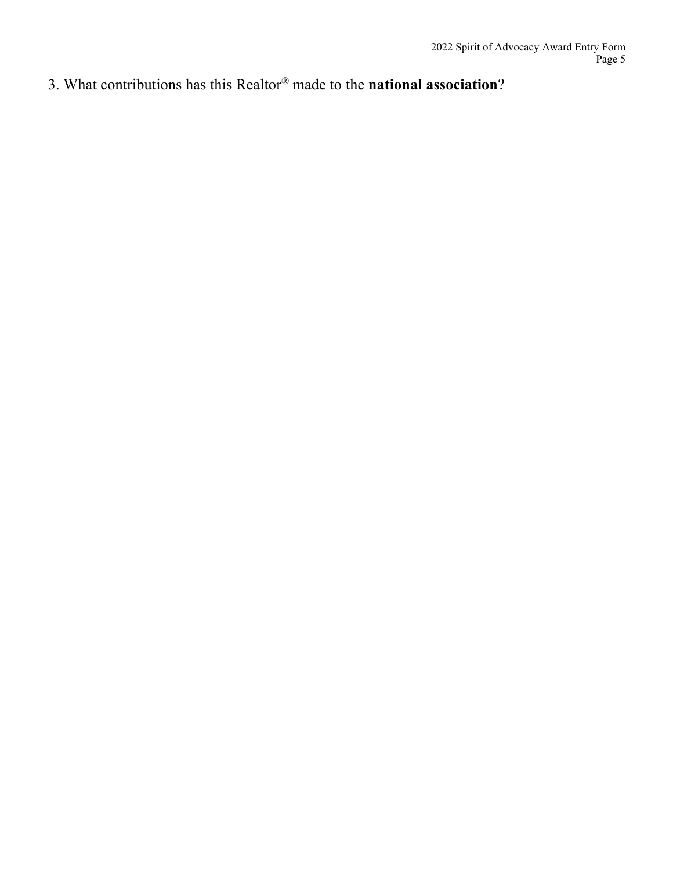3. What contributions has this Realtor® made to the **national association**?